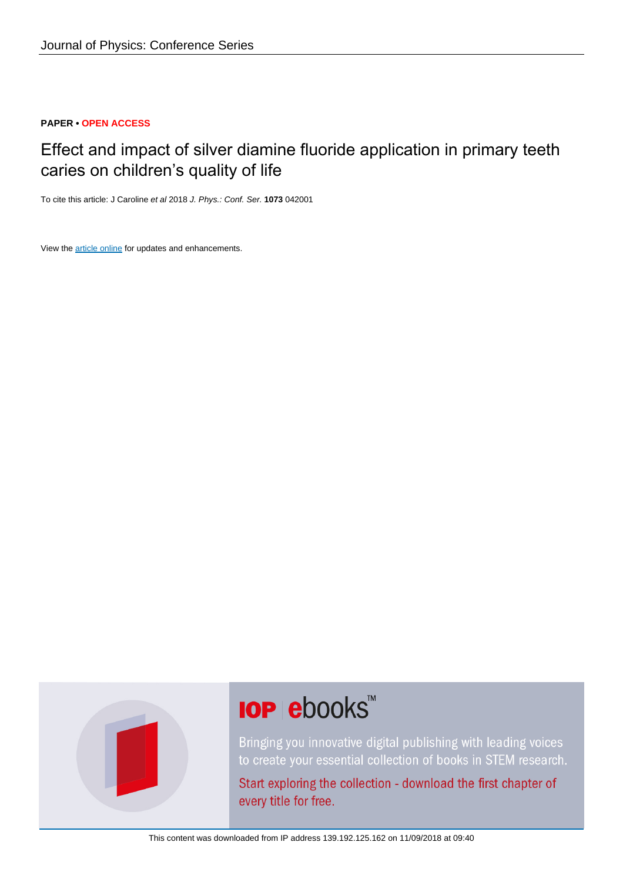#### **PAPER • OPEN ACCESS**

# Effect and impact of silver diamine fluoride application in primary teeth caries on children's quality of life

To cite this article: J Caroline et al 2018 J. Phys.: Conf. Ser. **1073** 042001

View the [article online](https://doi.org/10.1088/1742-6596/1073/4/042001) for updates and enhancements.



# **IOP ebooks**™

Bringing you innovative digital publishing with leading voices to create your essential collection of books in STEM research.

Start exploring the collection - download the first chapter of every title for free.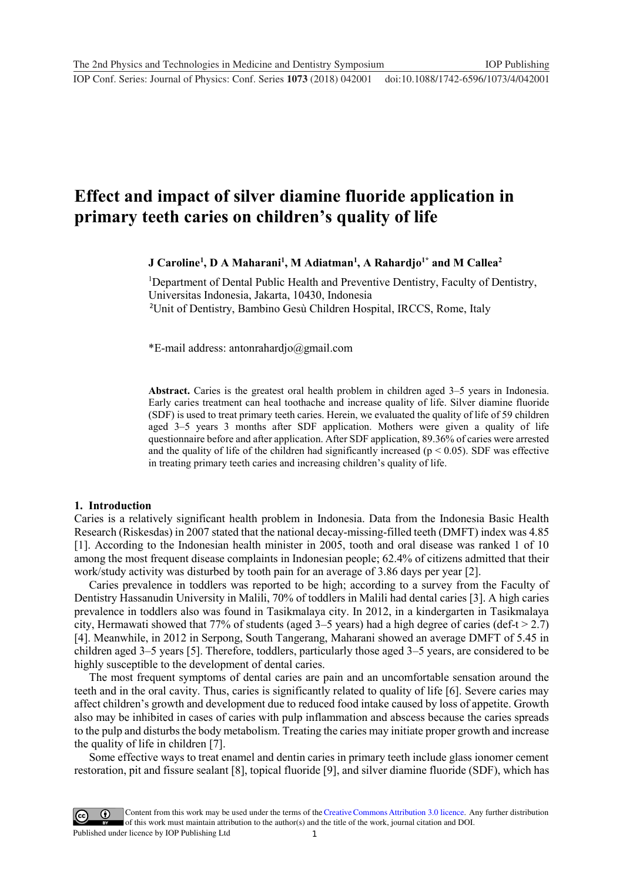**1234567890** ''"" IOP Conf. Series: Journal of Physics: Conf. Series **1073** (2018) 042001 doi :10.1088/1742-6596/1073/4/042001

## **Effect and impact of silver diamine fluoride application in primary teeth caries on children's quality of life**

**J** Caroline<sup>1</sup>, **D** A Maharani<sup>1</sup>, M Adiatman<sup>1</sup>, A Rahardjo<sup>1\*</sup> and M Callea<sup>2</sup>

<sup>1</sup>Department of Dental Public Health and Preventive Dentistry, Faculty of Dentistry, Universitas Indonesia, Jakarta, 10430, Indonesia 2 Unit of Dentistry, Bambino Gesù Children Hospital, IRCCS, Rome, Italy

\*E-mail address: antonrahardjo@gmail.com

**Abstract.** Caries is the greatest oral health problem in children aged 3–5 years in Indonesia. Early caries treatment can heal toothache and increase quality of life. Silver diamine fluoride (SDF) is used to treat primary teeth caries. Herein, we evaluated the quality of life of 59 children aged 3–5 years 3 months after SDF application. Mothers were given a quality of life questionnaire before and after application. After SDF application, 89.36% of caries were arrested and the quality of life of the children had significantly increased ( $p < 0.05$ ). SDF was effective in treating primary teeth caries and increasing children's quality of life.

#### **1. Introduction**

Caries is a relatively significant health problem in Indonesia. Data from the Indonesia Basic Health Research (Riskesdas) in 2007 stated that the national decay-missing-filled teeth (DMFT) index was 4.85 [1]. According to the Indonesian health minister in 2005, tooth and oral disease was ranked 1 of 10 among the most frequent disease complaints in Indonesian people; 62.4% of citizens admitted that their work/study activity was disturbed by tooth pain for an average of 3.86 days per year [2].

Caries prevalence in toddlers was reported to be high; according to a survey from the Faculty of Dentistry Hassanudin University in Malili, 70% of toddlers in Malili had dental caries [3]. A high caries prevalence in toddlers also was found in Tasikmalaya city. In 2012, in a kindergarten in Tasikmalaya city, Hermawati showed that 77% of students (aged  $3-5$  years) had a high degree of caries (def-t  $> 2.7$ ) [4]. Meanwhile, in 2012 in Serpong, South Tangerang, Maharani showed an average DMFT of 5.45 in children aged 3–5 years [5]. Therefore, toddlers, particularly those aged 3–5 years, are considered to be highly susceptible to the development of dental caries.

The most frequent symptoms of dental caries are pain and an uncomfortable sensation around the teeth and in the oral cavity. Thus, caries is significantly related to quality of life [6]. Severe caries may affect children's growth and development due to reduced food intake caused by loss of appetite. Growth also may be inhibited in cases of caries with pulp inflammation and abscess because the caries spreads to the pulp and disturbs the body metabolism. Treating the caries may initiate proper growth and increase the quality of life in children [7].

Some effective ways to treat enamel and dentin caries in primary teeth include glass ionomer cement restoration, pit and fissure sealant [8], topical fluoride [9], and silver diamine fluoride (SDF), which has

1 Content from this work may be used under the terms of the[Creative Commons Attribution 3.0 licence.](http://creativecommons.org/licenses/by/3.0) Any further distribution of this work must maintain attribution to the author(s) and the title of the work, journal citation and DOI. Published under licence by IOP Publishing Ltd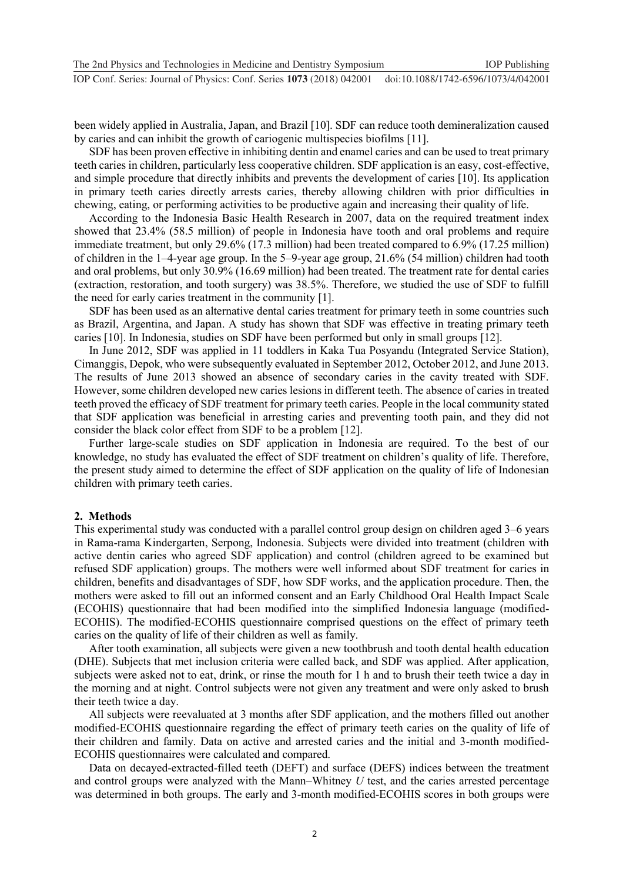been widely applied in Australia, Japan, and Brazil [10]. SDF can reduce tooth demineralization caused by caries and can inhibit the growth of cariogenic multispecies biofilms [11].

SDF has been proven effective in inhibiting dentin and enamel caries and can be used to treat primary teeth caries in children, particularly less cooperative children. SDF application is an easy, cost-effective, and simple procedure that directly inhibits and prevents the development of caries [10]. Its application in primary teeth caries directly arrests caries, thereby allowing children with prior difficulties in chewing, eating, or performing activities to be productive again and increasing their quality of life.

According to the Indonesia Basic Health Research in 2007, data on the required treatment index showed that 23.4% (58.5 million) of people in Indonesia have tooth and oral problems and require immediate treatment, but only 29.6% (17.3 million) had been treated compared to 6.9% (17.25 million) of children in the 1–4-year age group. In the 5–9-year age group, 21.6% (54 million) children had tooth and oral problems, but only 30.9% (16.69 million) had been treated. The treatment rate for dental caries (extraction, restoration, and tooth surgery) was 38.5%. Therefore, we studied the use of SDF to fulfill the need for early caries treatment in the community [1].

SDF has been used as an alternative dental caries treatment for primary teeth in some countries such as Brazil, Argentina, and Japan. A study has shown that SDF was effective in treating primary teeth caries [10]. In Indonesia, studies on SDF have been performed but only in small groups [12].

In June 2012, SDF was applied in 11 toddlers in Kaka Tua Posyandu (Integrated Service Station), Cimanggis, Depok, who were subsequently evaluated in September 2012, October 2012, and June 2013. The results of June 2013 showed an absence of secondary caries in the cavity treated with SDF. However, some children developed new caries lesions in different teeth. The absence of caries in treated teeth proved the efficacy of SDF treatment for primary teeth caries. People in the local community stated that SDF application was beneficial in arresting caries and preventing tooth pain, and they did not consider the black color effect from SDF to be a problem [12].

Further large-scale studies on SDF application in Indonesia are required. To the best of our knowledge, no study has evaluated the effect of SDF treatment on children's quality of life. Therefore, the present study aimed to determine the effect of SDF application on the quality of life of Indonesian children with primary teeth caries.

#### **2. Methods**

This experimental study was conducted with a parallel control group design on children aged 3–6 years in Rama-rama Kindergarten, Serpong, Indonesia. Subjects were divided into treatment (children with active dentin caries who agreed SDF application) and control (children agreed to be examined but refused SDF application) groups. The mothers were well informed about SDF treatment for caries in children, benefits and disadvantages of SDF, how SDF works, and the application procedure. Then, the mothers were asked to fill out an informed consent and an Early Childhood Oral Health Impact Scale (ECOHIS) questionnaire that had been modified into the simplified Indonesia language (modified-ECOHIS). The modified-ECOHIS questionnaire comprised questions on the effect of primary teeth caries on the quality of life of their children as well as family.

After tooth examination, all subjects were given a new toothbrush and tooth dental health education (DHE). Subjects that met inclusion criteria were called back, and SDF was applied. After application, subjects were asked not to eat, drink, or rinse the mouth for 1 h and to brush their teeth twice a day in the morning and at night. Control subjects were not given any treatment and were only asked to brush their teeth twice a day.

All subjects were reevaluated at 3 months after SDF application, and the mothers filled out another modified-ECOHIS questionnaire regarding the effect of primary teeth caries on the quality of life of their children and family. Data on active and arrested caries and the initial and 3-month modified-ECOHIS questionnaires were calculated and compared.

Data on decayed-extracted-filled teeth (DEFT) and surface (DEFS) indices between the treatment and control groups were analyzed with the Mann–Whitney *U* test, and the caries arrested percentage was determined in both groups. The early and 3-month modified-ECOHIS scores in both groups were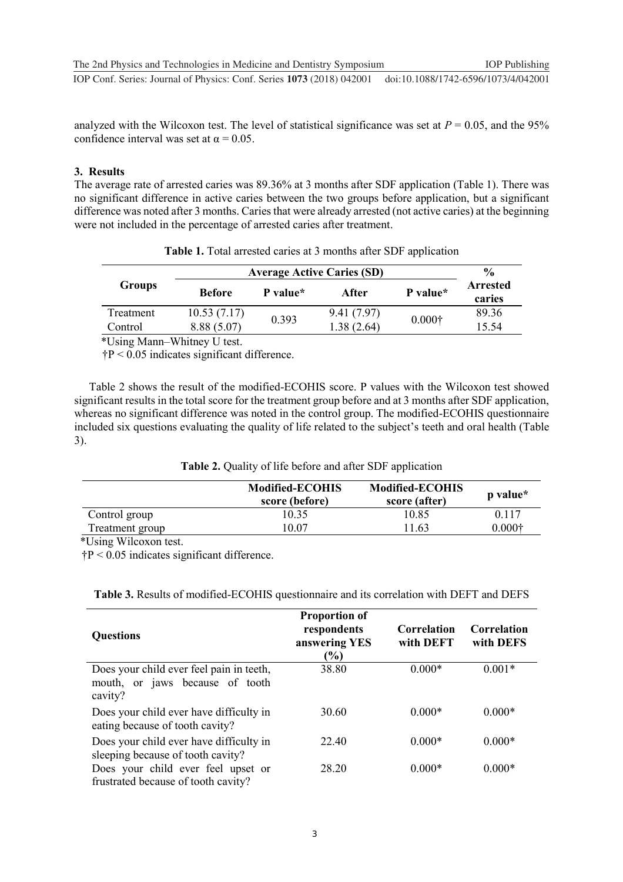analyzed with the Wilcoxon test. The level of statistical significance was set at  $P = 0.05$ , and the 95% confidence interval was set at  $\alpha = 0.05$ .

#### **3. Results**

The average rate of arrested caries was 89.36% at 3 months after SDF application (Table 1). There was no significant difference in active caries between the two groups before application, but a significant difference was noted after 3 months. Caries that were already arrested (not active caries) at the beginning were not included in the percentage of arrested caries after treatment.

| <b>Groups</b> | <b>Average Active Caries (SD)</b> | $\frac{0}{0}$ |            |                |                           |
|---------------|-----------------------------------|---------------|------------|----------------|---------------------------|
|               | <b>Before</b>                     | P value*      | After      | P value*       | <b>Arrested</b><br>caries |
| Treatment     | 10.53(7.17)                       | 0.393         | 9.41(7.97) | $0.000\dagger$ | 89.36                     |
| Control       | 8.88(5.07)                        |               | 1.38(2.64) |                | 15.54                     |

**Table 1.** Total arrested caries at 3 months after SDF application

\*Using Mann–Whitney U test.

†P < 0.05 indicates significant difference.

Table 2 shows the result of the modified-ECOHIS score. P values with the Wilcoxon test showed significant results in the total score for the treatment group before and at 3 months after SDF application, whereas no significant difference was noted in the control group. The modified-ECOHIS questionnaire included six questions evaluating the quality of life related to the subject's teeth and oral health (Table 3).

|  |  |  |  |  |  | Table 2. Quality of life before and after SDF application |
|--|--|--|--|--|--|-----------------------------------------------------------|
|--|--|--|--|--|--|-----------------------------------------------------------|

|                 | <b>Modified-ECOHIS</b><br>score (before) | <b>Modified-ECOHIS</b><br>score (after) | <b>p</b> value* |
|-----------------|------------------------------------------|-----------------------------------------|-----------------|
| Control group   | 10.35                                    | 10.85                                   | 0.117           |
| Treatment group | 10.07                                    | 11.63                                   | $0.000\dagger$  |

\*Using Wilcoxon test.

†P < 0.05 indicates significant difference.

| <b>Questions</b>                                                                       | <b>Proportion of</b><br>respondents<br>answering YES<br>$(\%)$ | Correlation<br>with DEFT | Correlation<br>with DEFS |
|----------------------------------------------------------------------------------------|----------------------------------------------------------------|--------------------------|--------------------------|
| Does your child ever feel pain in teeth,<br>mouth, or jaws because of tooth<br>cavity? | 38.80                                                          | $0.000*$                 | $0.001*$                 |
| Does your child ever have difficulty in<br>eating because of tooth cavity?             | 30.60                                                          | $0.000*$                 | $0.000*$                 |
| Does your child ever have difficulty in<br>sleeping because of tooth cavity?           | 22.40                                                          | $0.000*$                 | $0.000*$                 |
| Does your child ever feel upset or<br>frustrated because of tooth cavity?              | 28.20                                                          | $0.000*$                 | $0.000*$                 |

**Table 3.** Results of modified-ECOHIS questionnaire and its correlation with DEFT and DEFS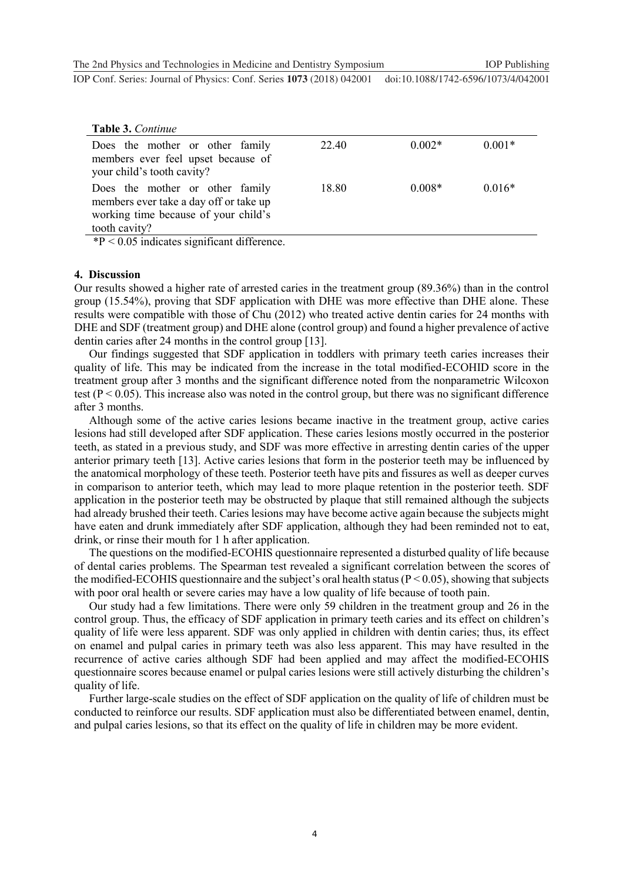The 2nd Physics and Technologies in Medicine and Dentistry Symposium IOP Publishing

**1234567890** ''"" IOP Conf. Series: Journal of Physics: Conf. Series **1073** (2018) 042001 doi :10.1088/1742-6596/1073/4/042001

| Table 3. Continue                                                                                                                  |       |          |          |
|------------------------------------------------------------------------------------------------------------------------------------|-------|----------|----------|
| Does the mother or other family<br>members ever feel upset because of<br>your child's tooth cavity?                                | 22.40 | $0.002*$ | $0.001*$ |
| Does the mother or other family<br>members ever take a day off or take up<br>working time because of your child's<br>tooth cavity? | 18.80 | $0.008*$ | $0.016*$ |

 $*P < 0.05$  indicates significant difference.

#### **4. Discussion**

Our results showed a higher rate of arrested caries in the treatment group (89.36%) than in the control group (15.54%), proving that SDF application with DHE was more effective than DHE alone. These results were compatible with those of Chu (2012) who treated active dentin caries for 24 months with DHE and SDF (treatment group) and DHE alone (control group) and found a higher prevalence of active dentin caries after 24 months in the control group [13].

Our findings suggested that SDF application in toddlers with primary teeth caries increases their quality of life. This may be indicated from the increase in the total modified-ECOHID score in the treatment group after 3 months and the significant difference noted from the nonparametric Wilcoxon test ( $P < 0.05$ ). This increase also was noted in the control group, but there was no significant difference after 3 months.

Although some of the active caries lesions became inactive in the treatment group, active caries lesions had still developed after SDF application. These caries lesions mostly occurred in the posterior teeth, as stated in a previous study, and SDF was more effective in arresting dentin caries of the upper anterior primary teeth [13]. Active caries lesions that form in the posterior teeth may be influenced by the anatomical morphology of these teeth. Posterior teeth have pits and fissures as well as deeper curves in comparison to anterior teeth, which may lead to more plaque retention in the posterior teeth. SDF application in the posterior teeth may be obstructed by plaque that still remained although the subjects had already brushed their teeth. Caries lesions may have become active again because the subjects might have eaten and drunk immediately after SDF application, although they had been reminded not to eat, drink, or rinse their mouth for 1 h after application.

The questions on the modified-ECOHIS questionnaire represented a disturbed quality of life because of dental caries problems. The Spearman test revealed a significant correlation between the scores of the modified-ECOHIS questionnaire and the subject's oral health status ( $P \le 0.05$ ), showing that subjects with poor oral health or severe caries may have a low quality of life because of tooth pain.

Our study had a few limitations. There were only 59 children in the treatment group and 26 in the control group. Thus, the efficacy of SDF application in primary teeth caries and its effect on children's quality of life were less apparent. SDF was only applied in children with dentin caries; thus, its effect on enamel and pulpal caries in primary teeth was also less apparent. This may have resulted in the recurrence of active caries although SDF had been applied and may affect the modified-ECOHIS questionnaire scores because enamel or pulpal caries lesions were still actively disturbing the children's quality of life.

Further large-scale studies on the effect of SDF application on the quality of life of children must be conducted to reinforce our results. SDF application must also be differentiated between enamel, dentin, and pulpal caries lesions, so that its effect on the quality of life in children may be more evident.